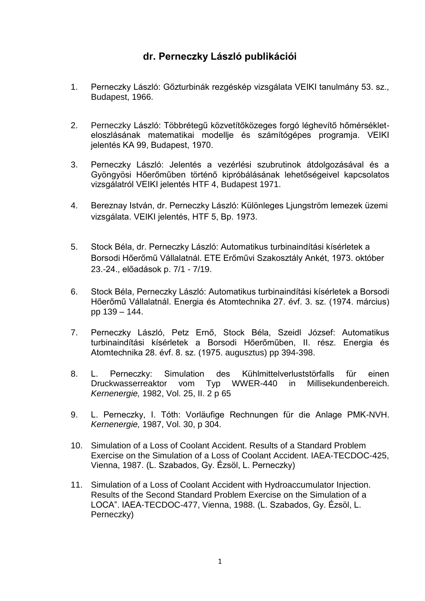## **dr. Perneczky László publikációi**

- 1. Perneczky László: Gőzturbinák rezgéskép vizsgálata VEIKI tanulmány 53. sz., Budapest, 1966.
- 2. Perneczky László: Többrétegű közvetítőközeges forgó léghevítő hőmérsékleteloszlásának matematikai modellje és számítógépes programja. VEIKI jelentés KA 99, Budapest, 1970.
- 3. Perneczky László: Jelentés a vezérlési szubrutinok átdolgozásával és a Gyöngyösi Hőerőműben történő kipróbálásának lehetőségeivel kapcsolatos vizsgálatról VEIKI jelentés HTF 4, Budapest 1971.
- 4. Bereznay István, dr. Perneczky László: Különleges Ljungström lemezek üzemi vizsgálata. VEIKI jelentés, HTF 5, Bp. 1973.
- 5. Stock Béla, dr. Perneczky László: Automatikus turbinaindítási kísérletek a Borsodi Hőerőmű Vállalatnál. ETE Erőművi Szakosztály Ankét, 1973. október 23.-24., előadások p. 7/1 - 7/19.
- 6. Stock Béla, Perneczky László: Automatikus turbinaindítási kísérletek a Borsodi Hőerőmű Vállalatnál. Energia és Atomtechnika 27. évf. 3. sz. (1974. március) pp 139 – 144.
- 7. Perneczky László, Petz Ernő, Stock Béla, Szeidl József: Automatikus turbinaindítási kísérletek a Borsodi Hőerőműben, II. rész. Energia és Atomtechnika 28. évf. 8. sz. (1975. augusztus) pp 394-398.
- 8. L. Perneczky: Simulation des Kühlmittelverluststörfalls für einen Druckwasserreaktor vom Typ WWER-440 in Millisekundenbereich. *Kernenergie,* 1982, Vol. 25, II. 2 p 65
- 9. L. Perneczky, I. Tóth: Vorläufige Rechnungen für die Anlage PMK-NVH. *Kernenergie,* 1987, Vol. 30, p 304.
- 10. Simulation of a Loss of Coolant Accident. Results of a Standard Problem Exercise on the Simulation of a Loss of Coolant Accident. IAEA-TECDOC-425, Vienna, 1987. (L. Szabados, Gy. Ézsöl, L. Perneczky)
- 11. Simulation of a Loss of Coolant Accident with Hydroaccumulator Injection. Results of the Second Standard Problem Exercise on the Simulation of a LOCA". IAEA-TECDOC-477, Vienna, 1988. (L. Szabados, Gy. Ézsöl, L. Perneczky)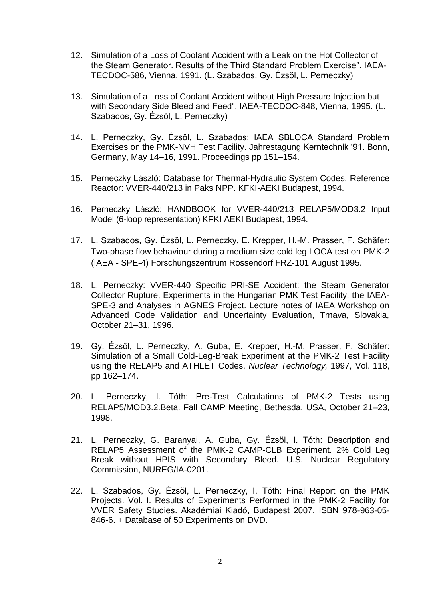- 12. Simulation of a Loss of Coolant Accident with a Leak on the Hot Collector of the Steam Generator. Results of the Third Standard Problem Exercise". IAEA-TECDOC-586, Vienna, 1991. (L. Szabados, Gy. Ézsöl, L. Perneczky)
- 13. Simulation of a Loss of Coolant Accident without High Pressure Injection but with Secondary Side Bleed and Feed". IAEA-TECDOC-848, Vienna, 1995. (L. Szabados, Gy. Ézsöl, L. Perneczky)
- 14. L. Perneczky, Gy. Ézsöl, L. Szabados: IAEA SBLOCA Standard Problem Exercises on the PMK-NVH Test Facility. Jahrestagung Kerntechnik '91. Bonn, Germany, May 14–16, 1991. Proceedings pp 151–154.
- 15. Perneczky László: Database for Thermal-Hydraulic System Codes. Reference Reactor: VVER-440/213 in Paks NPP. KFKI-AEKI Budapest, 1994.
- 16. Perneczky László: HANDBOOK for VVER-440/213 RELAP5/MOD3.2 Input Model (6-loop representation) KFKI AEKI Budapest, 1994.
- 17. L. Szabados, Gy. Ézsöl, L. Perneczky, E. Krepper, H.-M. Prasser, F. Schäfer: Two-phase flow behaviour during a medium size cold leg LOCA test on PMK-2 (IAEA - SPE-4) Forschungszentrum Rossendorf FRZ-101 August 1995.
- 18. L. Perneczky: VVER-440 Specific PRI-SE Accident: the Steam Generator Collector Rupture, Experiments in the Hungarian PMK Test Facility, the IAEA-SPE-3 and Analyses in AGNES Project. Lecture notes of IAEA Workshop on Advanced Code Validation and Uncertainty Evaluation, Trnava, Slovakia, October 21–31, 1996.
- 19. Gy. Ézsöl, L. Perneczky, A. Guba, E. Krepper, H.-M. Prasser, F. Schäfer: Simulation of a Small Cold-Leg-Break Experiment at the PMK-2 Test Facility using the RELAP5 and ATHLET Codes. *Nuclear Technology,* 1997, Vol. 118, pp 162–174.
- 20. L. Perneczky, I. Tóth: Pre-Test Calculations of PMK-2 Tests using RELAP5/MOD3.2.Beta. Fall CAMP Meeting, Bethesda, USA, October 21–23, 1998.
- 21. L. Perneczky, G. Baranyai, A. Guba, Gy. Ézsöl, I. Tóth: Description and RELAP5 Assessment of the PMK-2 CAMP-CLB Experiment. 2% Cold Leg Break without HPIS with Secondary Bleed. U.S. Nuclear Regulatory Commission, NUREG/IA-0201.
- 22. L. Szabados, Gy. Ézsöl, L. Perneczky, I. Tóth: Final Report on the PMK Projects. Vol. I. Results of Experiments Performed in the PMK-2 Facility for VVER Safety Studies. Akadémiai Kiadó, Budapest 2007. ISBN 978-963-05- 846-6. + Database of 50 Experiments on DVD.